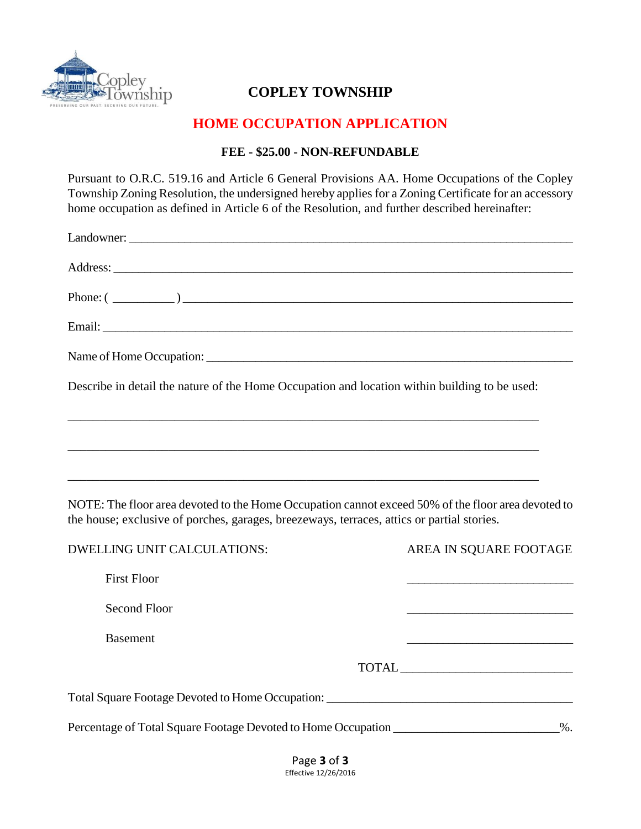

# **COPLEY TOWNSHIP**

# **HOME OCCUPATION APPLICATION**

### **FEE - \$25.00 - NON-REFUNDABLE**

Pursuant to O.R.C. 519.16 and Article 6 General Provisions AA. Home Occupations of the Copley Township Zoning Resolution, the undersigned hereby applies for a Zoning Certificate for an accessory home occupation as defined in Article 6 of the Resolution, and further described hereinafter:

| Phone: $(\_\_)$                                                                                                                                                                                  |                        |
|--------------------------------------------------------------------------------------------------------------------------------------------------------------------------------------------------|------------------------|
|                                                                                                                                                                                                  |                        |
|                                                                                                                                                                                                  |                        |
| Describe in detail the nature of the Home Occupation and location within building to be used:                                                                                                    |                        |
| <u> 1989 - Johann Barn, mars an t-Amerikaansk politiker (* 1958)</u>                                                                                                                             |                        |
|                                                                                                                                                                                                  |                        |
|                                                                                                                                                                                                  |                        |
| NOTE: The floor area devoted to the Home Occupation cannot exceed 50% of the floor area devoted to<br>the house; exclusive of porches, garages, breezeways, terraces, attics or partial stories. |                        |
| <b>DWELLING UNIT CALCULATIONS:</b>                                                                                                                                                               | AREA IN SQUARE FOOTAGE |
| <b>First Floor</b>                                                                                                                                                                               |                        |
| Second Floor                                                                                                                                                                                     |                        |
| <b>Basement</b>                                                                                                                                                                                  |                        |
|                                                                                                                                                                                                  |                        |
| Total Square Footage Devoted to Home Occupation: ________________________________                                                                                                                |                        |
| Percentage of Total Square Footage Devoted to Home Occupation _______________________%.                                                                                                          |                        |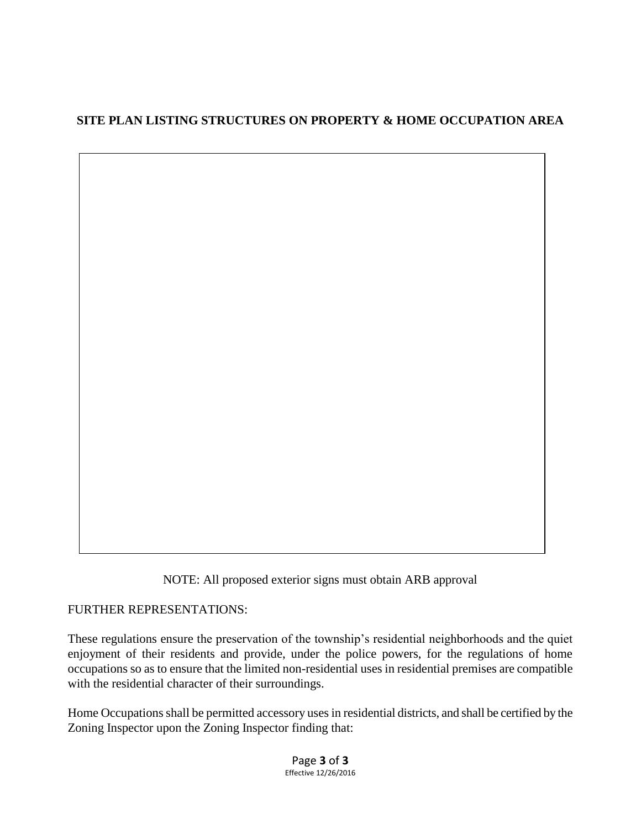# **SITE PLAN LISTING STRUCTURES ON PROPERTY & HOME OCCUPATION AREA**

NOTE: All proposed exterior signs must obtain ARB approval

FURTHER REPRESENTATIONS:

These regulations ensure the preservation of the township's residential neighborhoods and the quiet enjoyment of their residents and provide, under the police powers, for the regulations of home occupations so as to ensure that the limited non-residential uses in residential premises are compatible with the residential character of their surroundings.

Home Occupations shall be permitted accessory uses in residential districts, and shall be certified by the Zoning Inspector upon the Zoning Inspector finding that:

> Page **3** of **3** Effective 12/26/2016